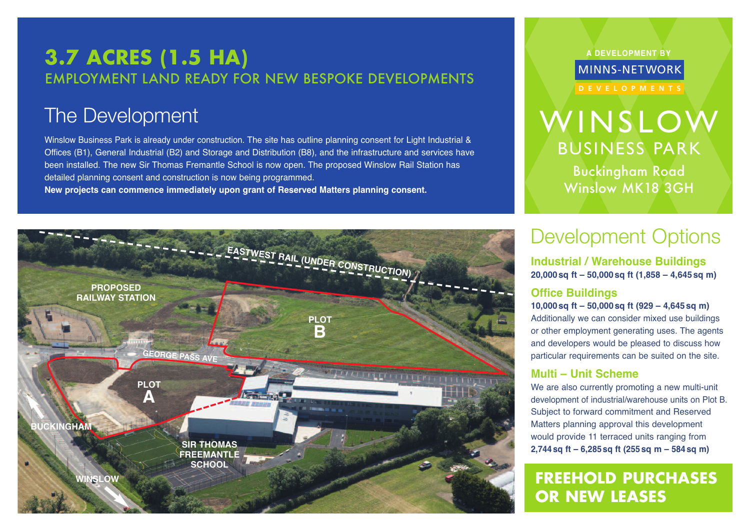## **3.7 ACRES (1.5 HA)** EMPLOYMENT LAND READY FOR NEW BESPOKE DEVELOPMENTS

## The Development

Winslow Business Park is already under construction. The site has outline planning consent for Light Industrial & Offices (B1), General Industrial (B2) and Storage and Distribution (B8), and the infrastructure and services have been installed. The new Sir Thomas Fremantle School is now open. The proposed Winslow Rail Station has detailed planning consent and construction is now being programmed.

**New projects can commence immediately upon grant of Reserved Matters planning consent.**



**A DEVELOPMENT BY**

MINNS-NETWORK

# WINSLOW BUSINESS PARK

Buckingham Road Winslow MK18 3GH

# Development Options

**Industrial / Warehouse Buildings 20,000sq ft – 50,000sq ft (1,858 – 4,645sq m)**

### **Office Buildings**

**10,000sq ft – 50,000sq ft (929 – 4,645sq m)** Additionally we can consider mixed use buildings or other employment generating uses. The agents and developers would be pleased to discuss how particular requirements can be suited on the site.

## **Multi – Unit Scheme**

We are also currently promoting a new multi-unit development of industrial/warehouse units on Plot B. Subject to forward commitment and Reserved Matters planning approval this development would provide 11 terraced units ranging from **2,744sq ft – 6,285sq ft (255 sq m – 584sq m)**

**FREEHOLD PURCHASES OR NEW LEASES**